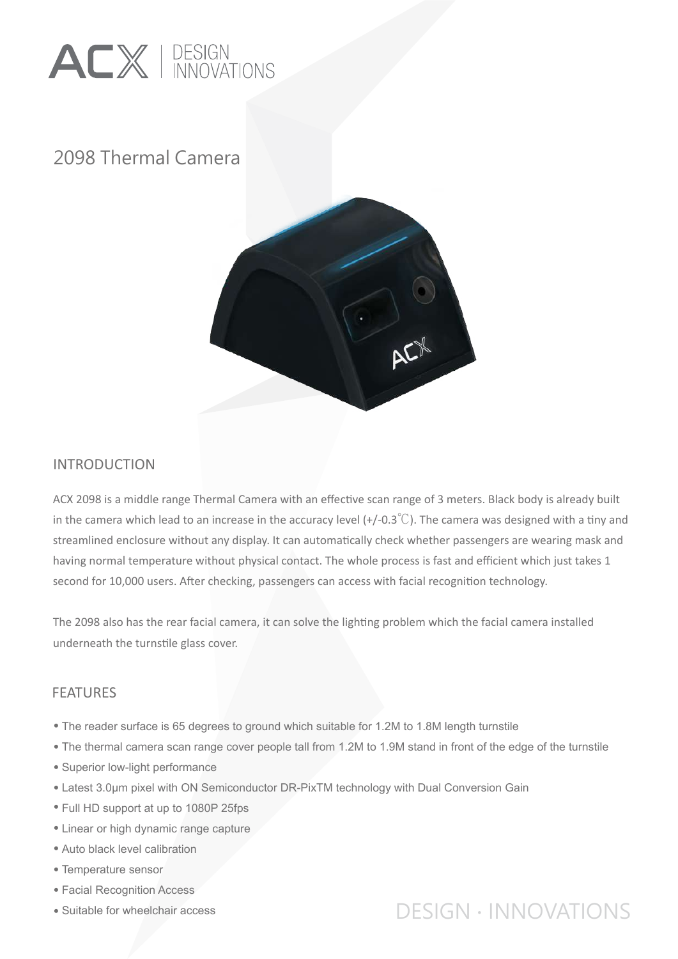

## 2098 Thermal Camera



#### INTRODUCTION

ACX 2098 is a middle range Thermal Camera with an effective scan range of 3 meters. Black body is already built in the camera which lead to an increase in the accuracy level (+/-0.3<sup>°</sup>C). The camera was designed with a tiny and streamlined enclosure without any display. It can automa�cally check whether passengers are wearing mask and having normal temperature without physical contact. The whole process is fast and efficient which just takes 1 second for 10,000 users. After checking, passengers can access with facial recognition technology.

The 2098 also has the rear facial camera, it can solve the lighting problem which the facial camera installed underneath the turnstile glass cover.

#### FEATURES

- The reader surface is 65 degrees to ground which suitable for 1.2M to 1.8M length turnstile •
- The thermal camera scan range cover people tall from 1.2M to 1.9M stand in front of the edge of the turnstile •
- Superior low-light performance
- Latest 3.0µm pixel with ON Semiconductor DR-PixTM technology with Dual Conversion Gain •
- Full HD support at up to 1080P 25fps •
- Linear or high dynamic range capture
- Auto black level calibration •
- Temperature sensor •
- Facial Recognition Access •
- Suitable for wheelchair access

# DESIGN ∙ INNOVATIONS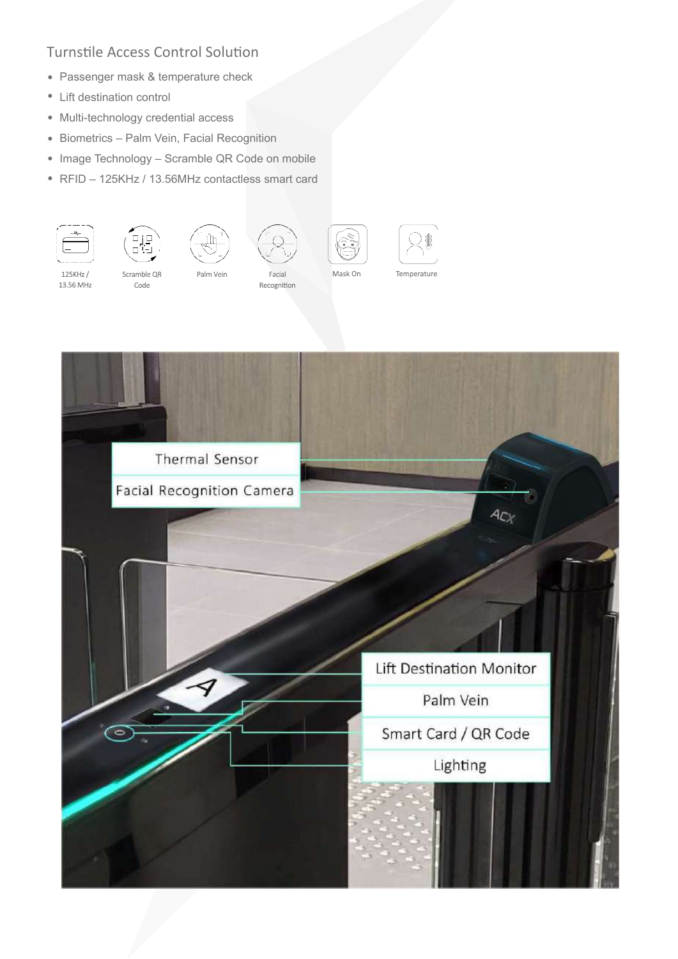#### Turnstile Access Control Solution

- Passenger mask & temperature check
- Lift destination control
- Multi-technology credential access
- Biometrics Palm Vein, Facial Recognition
- Image Technology Scramble QR Code on mobile
- RFID 125KHz / 13.56MHz contactless smart card •



125KHz /

13.56 MHz



Scramble OR

Code





Palm Vein



Recognition



Mask On





 $AC_X$ **Lift Destination Monitor** Smart Card / QR Code Lighting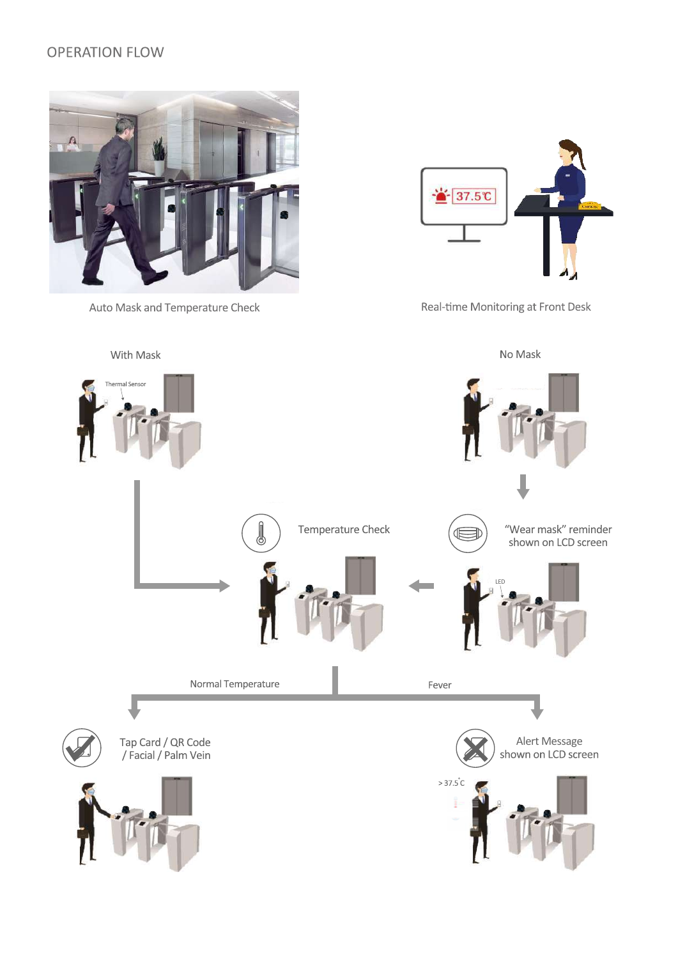### **OPERATION FLOW**



Auto Mask and Temperature Check



Real-time Monitoring at Front Desk

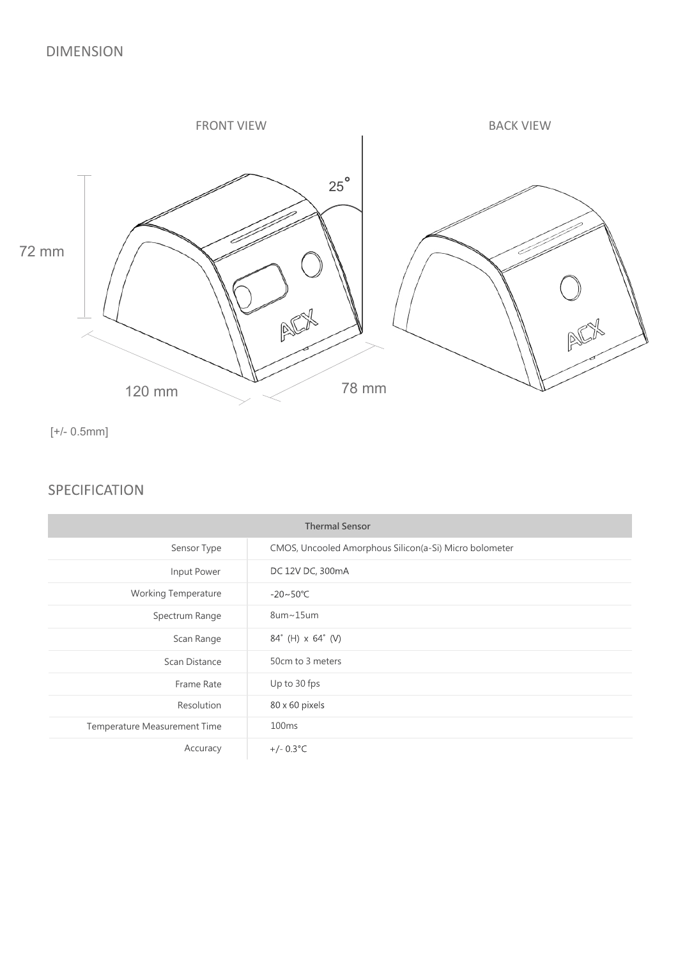

[+/- 0.5mm]

#### **SPECIFICATION**

| <b>Thermal Sensor</b>        |                                                        |
|------------------------------|--------------------------------------------------------|
| Sensor Type                  | CMOS, Uncooled Amorphous Silicon(a-Si) Micro bolometer |
| Input Power                  | DC 12V DC, 300mA                                       |
| <b>Working Temperature</b>   | $-20 \sim 50^{\circ}$ C                                |
| Spectrum Range               | $8$ um~15um                                            |
| Scan Range                   | 84° (H) x 64° (V)                                      |
| Scan Distance                | 50cm to 3 meters                                       |
| Frame Rate                   | Up to 30 fps                                           |
| Resolution                   | 80 x 60 pixels                                         |
| Temperature Measurement Time | 100 <sub>ms</sub>                                      |
| Accuracy                     | $+/- 0.3$ °C                                           |